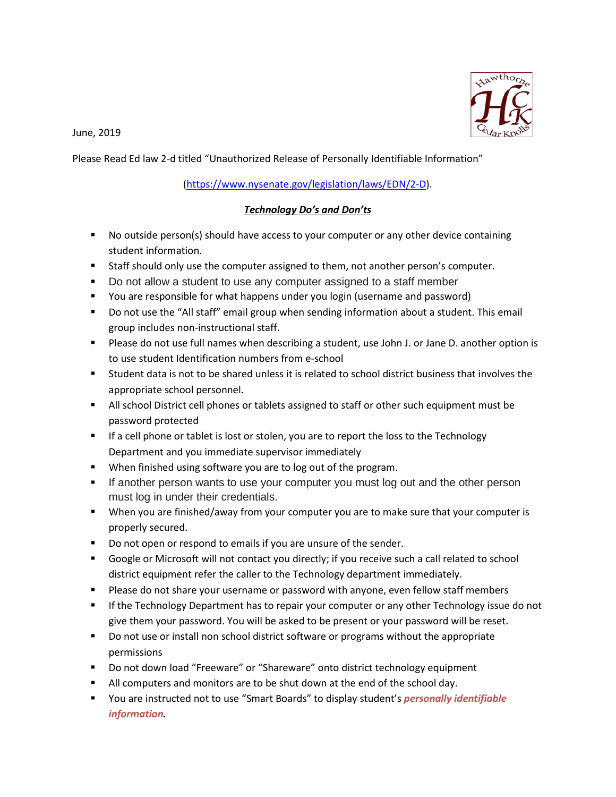June, 2019



Please Read Ed law 2-d titled "Unauthorized Release of Personally Identifiable Information"

## [\(https://www.nysenate.gov/legislation/laws/EDN/2-D\)](https://www.nysenate.gov/legislation/laws/EDN/2-D).

## *Technology Do's and Don'ts*

- No outside person(s) should have access to your computer or any other device containing student information.
- Staff should only use the computer assigned to them, not another person's computer.
- Do not allow a student to use any computer assigned to a staff member
- You are responsible for what happens under you login (username and password)
- Do not use the "All staff" email group when sending information about a student. This email group includes non-instructional staff.
- Please do not use full names when describing a student, use John J. or Jane D. another option is to use student Identification numbers from e-school
- Student data is not to be shared unless it is related to school district business that involves the appropriate school personnel.
- **All school District cell phones or tablets assigned to staff or other such equipment must be** password protected
- If a cell phone or tablet is lost or stolen, you are to report the loss to the Technology Department and you immediate supervisor immediately
- When finished using software you are to log out of the program.
- If another person wants to use your computer you must log out and the other person must log in under their credentials.
- When you are finished/away from your computer you are to make sure that your computer is properly secured.
- Do not open or respond to emails if you are unsure of the sender.
- Google or Microsoft will not contact you directly; if you receive such a call related to school district equipment refer the caller to the Technology department immediately.
- **Please do not share your username or password with anyone, even fellow staff members**
- **If the Technology Department has to repair your computer or any other Technology issue do not** give them your password. You will be asked to be present or your password will be reset.
- Do not use or install non school district software or programs without the appropriate permissions
- Do not down load "Freeware" or "Shareware" onto district technology equipment
- All computers and monitors are to be shut down at the end of the school day.
- You are instructed not to use "Smart Boards" to display student's *personally identifiable information.*